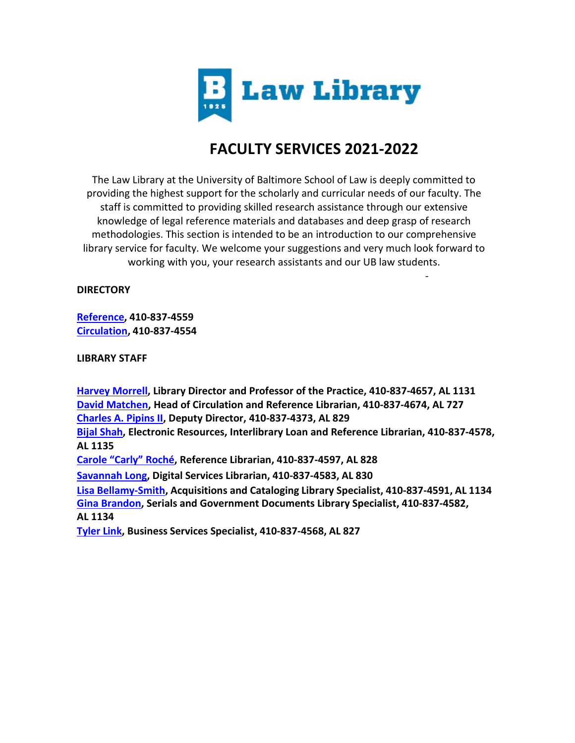

# **FACULTY SERVICES 2021-2022**

-

The Law Library at the University of Baltimore School of Law is deeply committed to providing the highest support for the scholarly and curricular needs of our faculty. The staff is committed to providing skilled research assistance through our extensive knowledge of legal reference materials and databases and deep grasp of research methodologies. This section is intended to be an introduction to our comprehensive library service for faculty. We welcome your suggestions and very much look forward to working with you, your research assistants and our UB law students.

## **DIRECTORY**

**[Reference,](mailto:lawlibref@ubalt.edu) 410-837-4559 [Circulation,](mailto:lawcirc@ubalt.edu) 410-837-4554**

**LIBRARY STAFF**

**[Harvey Morrell,](mailto:hmorrell@ubalt.edu) Library Director and Professor of the Practice, 410-837-4657, AL 1131 [David Matchen,](mailto:dmatchen@ubalt.edu) Head of Circulation and Reference Librarian, 410-837-4674, AL 727 [Charles](mailto:cpipins@ubalt.edu) A. Pipins II, Deputy Director, 410-837-4373, AL 829 [Bijal Shah,](mailto:bshah@ubalt.edu) Electronic Resources, Interlibrary Loan and Reference Librarian, 410-837-4578, AL 1135 [Carole "Carly" Roché,](mailto:croche@ubalt.edu) Reference Librarian, 410-837-4597, AL 828 [Savannah](mailto:slong@ubalt.edu) Long, Digital Services Librarian, 410-837-4583, AL 830 Lisa [Bellamy-Smith,](mailto:lbellamy@ubalt.edu) Acquisitions and Cataloging Library Specialist, 410-837-4591, AL 1134 [Gina Brandon,](mailto:gbrandon@ubalt.edu) Serials and Government Documents Library Specialist, 410-837-4582, AL 1134 [Tyler](mailto:tlink@ubalt.du) Link, Business Services Specialist, 410-837-4568, AL 827**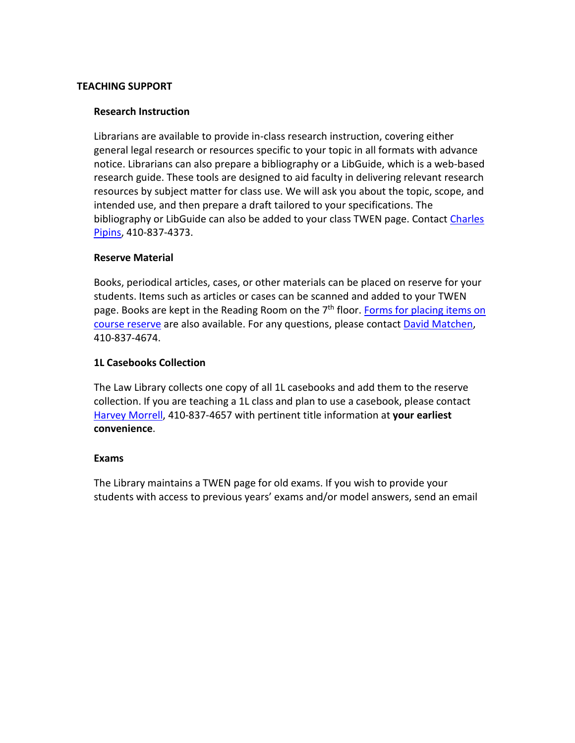#### **TEACHING SUPPORT**

#### **Research Instruction**

Librarians are available to provide in-class research instruction, covering either general legal research or resources specific to your topic in all formats with advance notice. Librarians can also prepare a bibliography or a LibGuide, which is a web-based research guide. These tools are designed to aid faculty in delivering relevant research resources by subject matter for class use. We will ask you about the topic, scope, and intended use, and then prepare a draft tailored to your specifications. The bibliography or LibGuide can also be added to your class TWEN page. Contact [Charles](mailto:cpipins@ubalt.edu) [Pipins,](mailto:cpipins@ubalt.edu) 410-837-4373.

#### **Reserve Material**

Books, periodical articles, cases, or other materials can be placed on reserve for your students. Items such as articles or cases can be scanned and added to your TWEN page. Books are kept in the Reading Room on the  $7<sup>th</sup>$  floor[. Forms for placing items on](http://law.ubalt.edu/library/services/faculty/reserve-form.cfm) [course reserve](http://law.ubalt.edu/library/services/faculty/reserve-form.cfm) are also available. For any questions, please contac[t David Matchen,](mailto:dmatchen@ubalt.edu) 410-837-4674.

## **1L Casebooks Collection**

The Law Library collects one copy of all 1L casebooks and add them to the reserve collection. If you are teaching a 1L class and plan to use a casebook, please contact [Harvey Morrell,](mailto:hmorrell@ubalt.edu) 410-837-4657 with pertinent title information at **your earliest convenience**.

#### **Exams**

The Library maintains a TWEN page for old exams. If you wish to provide your students with access to previous years' exams and/or model answers, send an email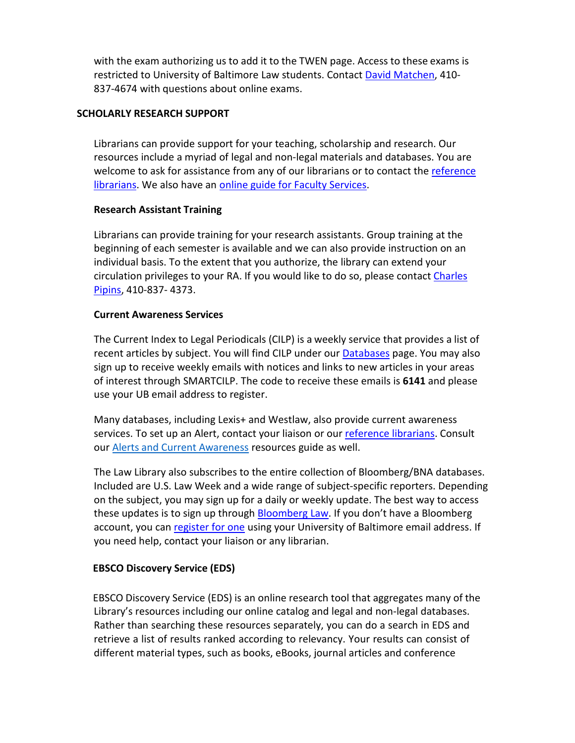with the exam authorizing us to add it to the TWEN page. Access to these exams is restricted to University of Baltimore Law students. Contact [David Matchen,](mailto:dmatchen@ubalt.edu) 410- 837-4674 with questions about online exams.

## **SCHOLARLY RESEARCH SUPPORT**

Librarians can provide support for your teaching, scholarship and research. Our resources include a myriad of legal and non-legal materials and databases. You are welcome to ask for assistance from any of our librarians or to contact the [reference](mailto:lawlibref@ubalt.edu) [librarians.](mailto:lawlibref@ubalt.edu) We also have an **online guide for Faculty Services**.

#### **Research Assistant Training**

Librarians can provide training for your research assistants. Group training at the beginning of each semester is available and we can also provide instruction on an individual basis. To the extent that you authorize, the library can extend your circulation privileges to your RA. If you would like to do so, please contac[t Charles](mailto:cpipins@ubalt.edu) [Pipins,](mailto:cpipins@ubalt.edu) 410-837- 4373.

#### **Current Awareness Services**

The Current Index to Legal Periodicals (CILP) is a weekly service that provides a list of recent articles by subject. You will find CILP under ou[r Databases](https://law.ubalt.libguides.com/az.php) page. You may also sign up to receive weekly emails with notices and links to new articles in your areas of interest through SMARTCILP. The code to receive these emails is **6141** and please use your UB email address to register.

Many databases, including Lexis+ and Westlaw, also provide current awareness services. To set up an Alert, contact your liaison or our [reference librarians.](mailto:lawlibref@ubalt.edu) Consult our **Alerts [and Current](http://law.ubalt.libguides.com/c.php?g=518238) Awareness resources guide as well.** 

The Law Library also subscribes to the entire collection of Bloomberg/BNA databases. Included are U.S. Law Week and a wide range of subject-specific reporters. Depending on the subject, you may sign up for a daily or weekly update. The best way to access these updates is to sign up through [Bloomberg Law.](https://www.bloomberglaw.com/bna/subscriptions) If you don't have a Bloomberg account, you can [register for one](https://profile.bna.com/bloomberglaw-activate/) using your University of Baltimore email address. If you need help, contact your liaison or any librarian.

## **EBSCO Discovery Service (EDS)**

EBSCO Discovery Service (EDS) is an online research tool that aggregates many of the Library's resources including our online catalog and legal and non-legal databases. Rather than searching these resources separately, you can do a search in EDS and retrieve a list of results ranked according to relevancy. Your results can consist of different material types, such as books, eBooks, journal articles and conference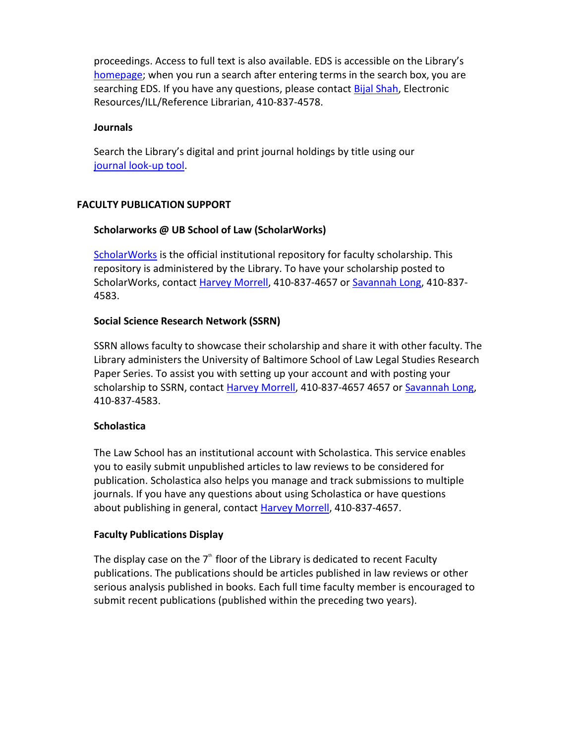proceedings. Access to full text is also available. EDS is accessible on the Library's [homepage;](http://law.ubalt.edu/library/) when you run a search after entering terms in the search box, you are searching EDS. If you have any questions, please contact **Bijal Shah**, Electronic Resources/ILL/Reference Librarian, 410-837-4578.

## **Journals**

Search the Library's digital and print journal holdings by title using our journal [look-up](http://search.ebscohost.com/login.aspx?authtype=ip%2Cguest&custid=mdlaw&groupid=main&profile=pfi) tool.

## **FACULTY PUBLICATION SUPPORT**

## **Scholarworks @ UB School of Law (ScholarWorks)**

[ScholarWorks](http://scholarworks.law.ubalt.edu/) is the official institutional repository for faculty scholarship. This repository is administered by the Library. To have your scholarship posted to ScholarWorks, contact [Harvey Morrell,](mailto:hmorrell@ubalt.edu) 410-837-4657 or [Savannah Long,](mailto:slong@ubalt.edu) 410-837- 4583.

## **Social Science Research Network (SSRN)**

SSRN allows faculty to showcase their scholarship and share it with other faculty. The Library administers the University of Baltimore School of Law Legal Studies Research Paper Series. To assist you with setting up your account and with posting your scholarship to SSRN, contact [Harvey Morrell,](mailto:hmorrell@ubalt.edu) 410-837-4657 4657 or [Savannah Long,](mailto:slong@ubalt.edu) 410-837-4583.

## **Scholastica**

The Law School has an institutional account with Scholastica. This service enables you to easily submit unpublished articles to law reviews to be considered for publication. Scholastica also helps you manage and track submissions to multiple journals. If you have any questions about using Scholastica or have questions about publishing in general, contact Harvey [Morrell,](mailto:hmorrell@ubalt.edu) 410-837-4657.

## **Faculty Publications Display**

The display case on the  $7<sup>th</sup>$  floor of the Library is dedicated to recent Faculty publications. The publications should be articles published in law reviews or other serious analysis published in books. Each full time faculty member is encouraged to submit recent publications (published within the preceding two years).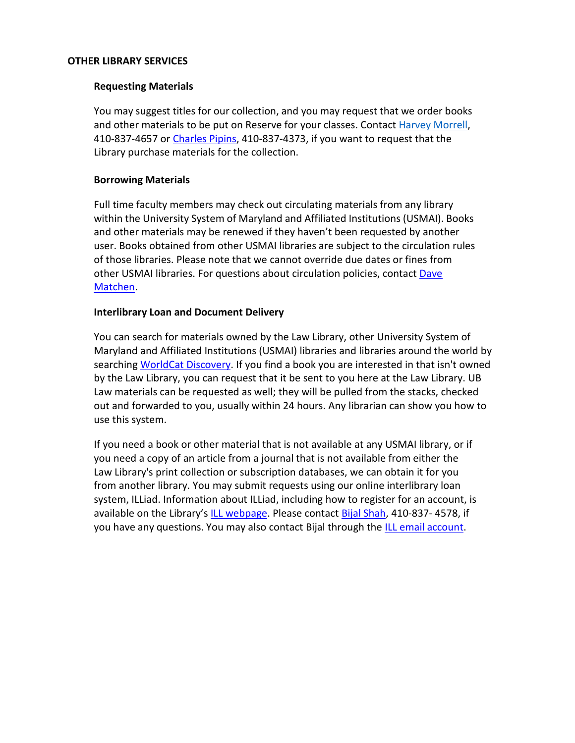#### **OTHER LIBRARY SERVICES**

#### **Requesting Materials**

You may suggest titles for our collection, and you may request that we order books and other materials to be put on Reserve for your classes. Contact [Harvey Morrell,](mailto:hmorrell@ubalt.edu) 410-837-4657 or [Charles Pipins,](mailto:cpipins@ubalt.edu) 410-837-4373, if you want to request that the Library purchase materials for the collection.

#### **Borrowing Materials**

Full time faculty members may check out circulating materials from any library within the University System of Maryland and Affiliated Institutions (USMAI). Books and other materials may be renewed if they haven't been requested by another user. Books obtained from other USMAI libraries are subject to the circulation rules of those libraries. Please note that we cannot override due dates or fines from other USMAI libraries. For questions about circulation policies, contac[t Dave](mailto:dmatchen@ubalt.edu) [Matchen.](mailto:dmatchen@ubalt.edu)

#### **Interlibrary Loan and Document Delivery**

You can search for materials owned by the Law Library, other University System of Maryland and Affiliated Institutions (USMAI) libraries and libraries around the world by searching [WorldCat Discovery.](https://ubalt.on.worldcat.org/discovery) If you find a book you are interested in that isn't owned by the Law Library, you can request that it be sent to you here at the Law Library. UB Law materials can be requested as well; they will be pulled from the stacks, checked out and forwarded to you, usually within 24 hours. Any librarian can show you how to use this system.

If you need a book or other material that is not available at any USMAI library, or if you need a copy of an article from a journal that is not available from either the Law Library's print collection or subscription databases, we can obtain it for you from another library. You may submit requests using our online interlibrary loan system, ILLiad. Information about ILLiad, including how to register for an account, is available on the Library's [ILL webpage.](http://law.ubalt.edu/library/services/ill/index.cfm) Please contac[t Bijal Shah,](mailto:bshah@ubalt.edu) 410-837- 4578, if you have any questions. You may also contact Bijal through the ILL email [account.](mailto:illlaw@ubalt.edu)